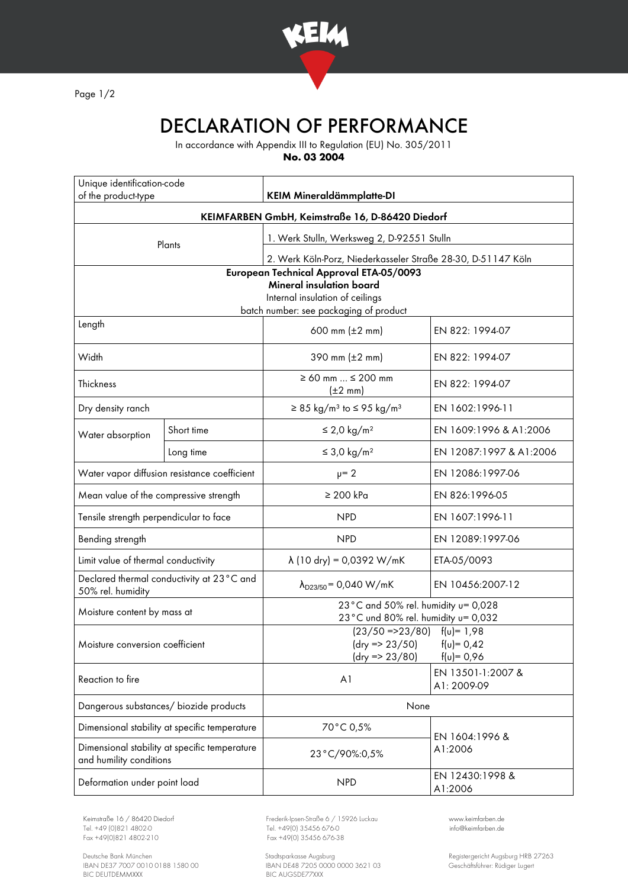

Page 1/2

## DECLARATION OF PERFORMANCE

In accordance with Appendix III to Regulation (EU) No. 305/2011

**No. 03 2004**

| Unique identification-code<br>of the product-type                        |            | <b>KEIM Mineraldämmplatte-DI</b>                                       |                                                   |
|--------------------------------------------------------------------------|------------|------------------------------------------------------------------------|---------------------------------------------------|
| KEIMFARBEN GmbH, Keimstraße 16, D-86420 Diedorf                          |            |                                                                        |                                                   |
| Plants                                                                   |            | 1. Werk Stulln, Werksweg 2, D-92551 Stulln                             |                                                   |
|                                                                          |            | 2. Werk Köln-Porz, Niederkasseler Straße 28-30, D-51147 Köln           |                                                   |
| European Technical Approval ETA-05/0093                                  |            |                                                                        |                                                   |
| <b>Mineral insulation board</b><br>Internal insulation of ceilings       |            |                                                                        |                                                   |
| batch number: see packaging of product                                   |            |                                                                        |                                                   |
| Length                                                                   |            | 600 mm $(\pm 2 \, \text{mm})$                                          | EN 822: 1994-07                                   |
| Width                                                                    |            | 390 mm $(\pm 2 \, \text{mm})$                                          | EN 822: 1994-07                                   |
| Thickness                                                                |            | $\geq 60$ mm $\leq 200$ mm<br>$(\pm 2 \text{ mm})$                     | EN 822: 1994-07                                   |
| Dry density ranch                                                        |            | $\geq$ 85 kg/m <sup>3</sup> to $\leq$ 95 kg/m <sup>3</sup>             | EN 1602:1996-11                                   |
| Water absorption                                                         | Short time | $\leq$ 2,0 kg/m <sup>2</sup>                                           | EN 1609:1996 & A1:2006                            |
|                                                                          | Long time  | $\leq$ 3,0 kg/m <sup>2</sup>                                           | EN 12087:1997 & A1:2006                           |
| Water vapor diffusion resistance coefficient                             |            | $\mu = 2$                                                              | EN 12086:1997-06                                  |
| Mean value of the compressive strength                                   |            | $\geq 200$ kPa                                                         | EN 826:1996-05                                    |
| Tensile strength perpendicular to face                                   |            | <b>NPD</b>                                                             | EN 1607:1996-11                                   |
| Bending strength                                                         |            | <b>NPD</b>                                                             | EN 12089:1997-06                                  |
| Limit value of thermal conductivity                                      |            | $\lambda$ (10 dry) = 0,0392 W/mK                                       | ETA-05/0093                                       |
| Declared thermal conductivity at 23°C and<br>50% rel. humidity           |            | $\lambda_{D23/50}$ = 0,040 W/mK                                        | EN 10456:2007-12                                  |
| Moisture content by mass at                                              |            | 23°C and 50% rel. humidity u= 0,028                                    |                                                   |
|                                                                          |            | 23°C und 80% rel. humidity u= 0,032<br>$(23/50 = 23/80)$ $f(u) = 1.98$ |                                                   |
| Moisture conversion coefficient                                          |            | $(dry = 23/50)$<br>$f(v) = 0,42$                                       |                                                   |
| Reaction to fire                                                         |            | (dry => 23/80)<br>A <sub>1</sub>                                       | $f(u) = 0,96$<br>EN 13501-1:2007 &<br>A1: 2009-09 |
| Dangerous substances/ biozide products                                   |            | None                                                                   |                                                   |
| Dimensional stability at specific temperature                            |            | 70°C 0,5%                                                              | EN 1604:1996 &<br>A1:2006                         |
| Dimensional stability at specific temperature<br>and humility conditions |            | 23°C/90%:0,5%                                                          |                                                   |
| Deformation under point load                                             |            | <b>NPD</b>                                                             | EN 12430:1998 &<br>A1:2006                        |

Tel. +49 (0)821 4802-0 Tel. +49 (0) 35456 676-0 Fox +49 (0) 821 4802-0 info@ex +49 (0) 35456 676-38

Deutsche Bank München Stadtsparkasse Augsburg Registergericht Augsburg HRB 27263 IBAN DE37 7007 0010 0188 1580 00 IBAN DE48 7205 0000 0000 3621 03 Geschäftsführer: Rüdiger Lugert BIC DEUTDEMMXXX BIC AUGSDE77XXX

Keimstraße 16 / 86420 Diedorf Frederik-Ipsen-Straße 6 / 15926 Luckau [www.keimfarben.de](http://www.keimfarben.de/)  $Fax + 49(0)35456676-38$